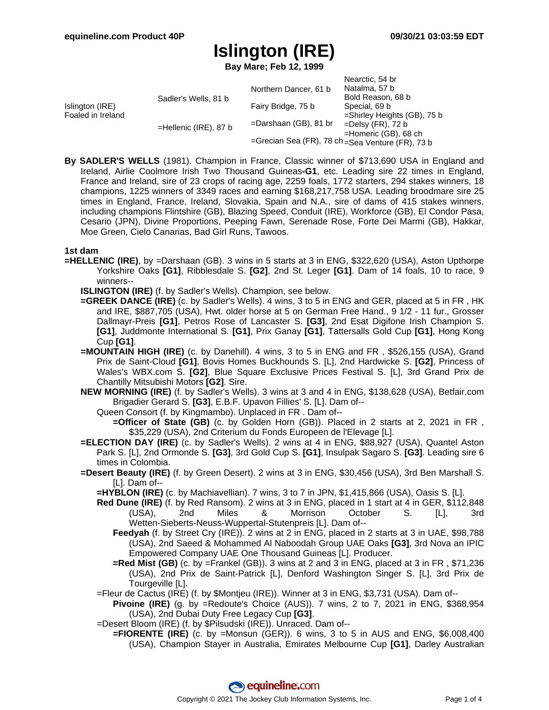**Bay Mare; Feb 12, 1999**

|                                      |                          |                                                  | Nearctic, 54 br             |
|--------------------------------------|--------------------------|--------------------------------------------------|-----------------------------|
| Islington (IRE)<br>Foaled in Ireland | Sadler's Wells, 81 b     | Northern Dancer, 61 b                            | Natalma, 57 b               |
|                                      |                          |                                                  | Bold Reason, 68 b           |
|                                      |                          | Fairy Bridge, 75 b                               | Special, 69 b               |
|                                      |                          |                                                  | =Shirley Heights (GB), 75 b |
|                                      | $=$ Hellenic (IRE), 87 b | $=$ Darshaan (GB), 81 br                         | $=$ Delsy (FR), 72 b        |
|                                      |                          |                                                  | $=$ Homeric (GB), 68 ch     |
|                                      |                          | =Grecian Sea (FR), 78 ch =Sea Venture (FR), 73 b |                             |

**By SADLER'S WELLS** (1981). Champion in France, Classic winner of \$713,690 USA in England and Ireland, Airlie Coolmore Irish Two Thousand Guineas**-G1**, etc. Leading sire 22 times in England, France and Ireland, sire of 23 crops of racing age, 2259 foals, 1772 starters, 294 stakes winners, 18 champions, 1225 winners of 3349 races and earning \$168,217,758 USA. Leading broodmare sire 25 times in England, France, Ireland, Slovakia, Spain and N.A., sire of dams of 415 stakes winners, including champions Flintshire (GB), Blazing Speed, Conduit (IRE), Workforce (GB), El Condor Pasa, Cesario (JPN), Divine Proportions, Peeping Fawn, Serenade Rose, Forte Dei Marmi (GB), Hakkar, Moe Green, Cielo Canarias, Bad Girl Runs, Tawoos.

### **1st dam**

- **=HELLENIC (IRE)**, by =Darshaan (GB). 3 wins in 5 starts at 3 in ENG, \$322,620 (USA), Aston Upthorpe Yorkshire Oaks **[G1]**, Ribblesdale S. **[G2]**, 2nd St. Leger **[G1]**. Dam of 14 foals, 10 to race, 9 winners--
	- **ISLINGTON (IRE)** (f. by Sadler's Wells). Champion, see below.
	- **=GREEK DANCE (IRE)** (c. by Sadler's Wells). 4 wins, 3 to 5 in ENG and GER, placed at 5 in FR , HK and IRE, \$887,705 (USA), Hwt. older horse at 5 on German Free Hand., 9 1/2 - 11 fur., Grosser Dallmayr-Preis **[G1]**, Petros Rose of Lancaster S. **[G3]**, 2nd Esat Digifone Irish Champion S. **[G1]**, Juddmonte International S. **[G1]**, Prix Ganay **[G1]**, Tattersalls Gold Cup **[G1]**, Hong Kong Cup **[G1]**.
	- **=MOUNTAIN HIGH (IRE)** (c. by Danehill). 4 wins, 3 to 5 in ENG and FR , \$526,155 (USA), Grand Prix de Saint-Cloud **[G1]**, Bovis Homes Buckhounds S. [L], 2nd Hardwicke S. **[G2]**, Princess of Wales's WBX.com S. **[G2]**, Blue Square Exclusive Prices Festival S. [L], 3rd Grand Prix de Chantilly Mitsubishi Motors **[G2]**. Sire.
	- **NEW MORNING (IRE)** (f. by Sadler's Wells). 3 wins at 3 and 4 in ENG, \$138,628 (USA), Betfair.com Brigadier Gerard S. **[G3]**, E.B.F. Upavon Fillies' S. [L]. Dam of--
		- Queen Consort (f. by Kingmambo). Unplaced in FR . Dam of--
			- **=Officer of State (GB)** (c. by Golden Horn (GB)). Placed in 2 starts at 2, 2021 in FR , \$35,229 (USA), 2nd Criterium du Fonds Europeen de l'Elevage [L].
	- **=ELECTION DAY (IRE)** (c. by Sadler's Wells). 2 wins at 4 in ENG, \$88,927 (USA), Quantel Aston Park S. [L], 2nd Ormonde S. **[G3]**, 3rd Gold Cup S. **[G1]**, Insulpak Sagaro S. **[G3]**. Leading sire 6 times in Colombia.
	- **=Desert Beauty (IRE)** (f. by Green Desert). 2 wins at 3 in ENG, \$30,456 (USA), 3rd Ben Marshall S. [L]. Dam of--
		- **=HYBLON (IRE)** (c. by Machiavellian). 7 wins, 3 to 7 in JPN, \$1,415,866 (USA), Oasis S. [L].
		- **Red Dune (IRE)** (f. by Red Ransom). 2 wins at 3 in ENG, placed in 1 start at 4 in GER, \$112,848 (USA), 2nd Miles & Morrison October S. [L], 3rd Wetten-Sieberts-Neuss-Wuppertal-Stutenpreis [L]. Dam of--
			- **Feedyah** (f. by Street Cry (IRE)). 2 wins at 2 in ENG, placed in 2 starts at 3 in UAE, \$98,788 (USA), 2nd Saeed & Mohammed Al Naboodah Group UAE Oaks **[G3]**, 3rd Nova an IPIC Empowered Company UAE One Thousand Guineas [L]. Producer.
			- **=Red Mist (GB)** (c. by =Frankel (GB)). 3 wins at 2 and 3 in ENG, placed at 3 in FR , \$71,236 (USA), 2nd Prix de Saint-Patrick [L], Denford Washington Singer S. [L], 3rd Prix de Tourgeville [L].
		- =Fleur de Cactus (IRE) (f. by \$Montjeu (IRE)). Winner at 3 in ENG, \$3,731 (USA). Dam of--
			- **Pivoine (IRE)** (g. by =Redoute's Choice (AUS)). 7 wins, 2 to 7, 2021 in ENG, \$368,954 (USA), 2nd Dubai Duty Free Legacy Cup **[G3]**.
		- =Desert Bloom (IRE) (f. by \$Pilsudski (IRE)). Unraced. Dam of--
			- **=FIORENTE (IRE)** (c. by =Monsun (GER)). 6 wins, 3 to 5 in AUS and ENG, \$6,008,400 (USA), Champion Stayer in Australia, Emirates Melbourne Cup **[G1]**, Darley Australian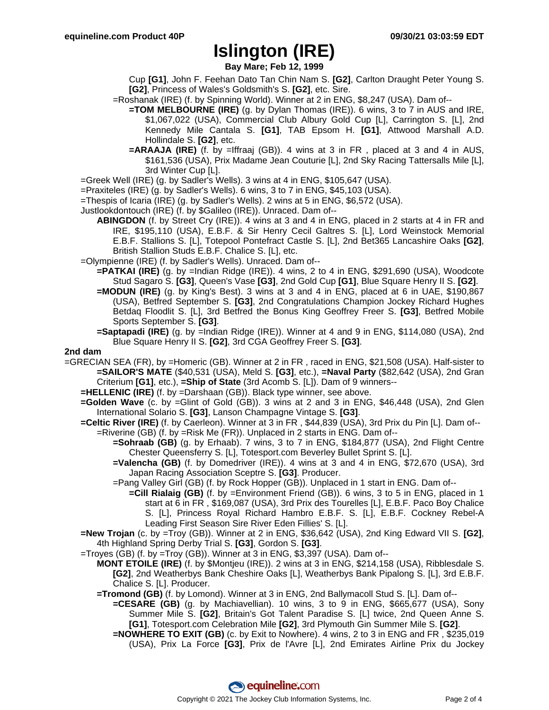**Bay Mare; Feb 12, 1999**

- Cup **[G1]**, John F. Feehan Dato Tan Chin Nam S. **[G2]**, Carlton Draught Peter Young S. **[G2]**, Princess of Wales's Goldsmith's S. **[G2]**, etc. Sire.
- =Roshanak (IRE) (f. by Spinning World). Winner at 2 in ENG, \$8,247 (USA). Dam of--
	- **=TOM MELBOURNE (IRE)** (g. by Dylan Thomas (IRE)). 6 wins, 3 to 7 in AUS and IRE, \$1,067,022 (USA), Commercial Club Albury Gold Cup [L], Carrington S. [L], 2nd Kennedy Mile Cantala S. **[G1]**, TAB Epsom H. **[G1]**, Attwood Marshall A.D. Hollindale S. **[G2]**, etc.
	- **=ARAAJA (IRE)** (f. by =Iffraaj (GB)). 4 wins at 3 in FR , placed at 3 and 4 in AUS, \$161,536 (USA), Prix Madame Jean Couturie [L], 2nd Sky Racing Tattersalls Mile [L], 3rd Winter Cup [L].
- =Greek Well (IRE) (g. by Sadler's Wells). 3 wins at 4 in ENG, \$105,647 (USA).
- =Praxiteles (IRE) (g. by Sadler's Wells). 6 wins, 3 to 7 in ENG, \$45,103 (USA).
- =Thespis of Icaria (IRE) (g. by Sadler's Wells). 2 wins at 5 in ENG, \$6,572 (USA).
- Justlookdontouch (IRE) (f. by \$Galileo (IRE)). Unraced. Dam of--
	- **ABINGDON** (f. by Street Cry (IRE)). 4 wins at 3 and 4 in ENG, placed in 2 starts at 4 in FR and IRE, \$195,110 (USA), E.B.F. & Sir Henry Cecil Galtres S. [L], Lord Weinstock Memorial E.B.F. Stallions S. [L], Totepool Pontefract Castle S. [L], 2nd Bet365 Lancashire Oaks **[G2]**, British Stallion Studs E.B.F. Chalice S. [L], etc.
- =Olympienne (IRE) (f. by Sadler's Wells). Unraced. Dam of--
	- **=PATKAI (IRE)** (g. by =Indian Ridge (IRE)). 4 wins, 2 to 4 in ENG, \$291,690 (USA), Woodcote Stud Sagaro S. **[G3]**, Queen's Vase **[G3]**, 2nd Gold Cup **[G1]**, Blue Square Henry II S. **[G2]**.
	- **=MODUN (IRE)** (g. by King's Best). 3 wins at 3 and 4 in ENG, placed at 6 in UAE, \$190,867 (USA), Betfred September S. **[G3]**, 2nd Congratulations Champion Jockey Richard Hughes Betdaq Floodlit S. [L], 3rd Betfred the Bonus King Geoffrey Freer S. **[G3]**, Betfred Mobile Sports September S. **[G3]**.
	- **=Saptapadi (IRE)** (g. by =Indian Ridge (IRE)). Winner at 4 and 9 in ENG, \$114,080 (USA), 2nd Blue Square Henry II S. **[G2]**, 3rd CGA Geoffrey Freer S. **[G3]**.

#### **2nd dam**

- =GRECIAN SEA (FR), by =Homeric (GB). Winner at 2 in FR , raced in ENG, \$21,508 (USA). Half-sister to **=SAILOR'S MATE** (\$40,531 (USA), Meld S. **[G3]**, etc.), **=Naval Party** (\$82,642 (USA), 2nd Gran Criterium **[G1]**, etc.), **=Ship of State** (3rd Acomb S. [L]). Dam of 9 winners--
	- **=HELLENIC (IRE)** (f. by =Darshaan (GB)). Black type winner, see above.
	- **=Golden Wave** (c. by =Glint of Gold (GB)). 3 wins at 2 and 3 in ENG, \$46,448 (USA), 2nd Glen International Solario S. **[G3]**, Lanson Champagne Vintage S. **[G3]**.
	- **=Celtic River (IRE)** (f. by Caerleon). Winner at 3 in FR , \$44,839 (USA), 3rd Prix du Pin [L]. Dam of-- =Riverine (GB) (f. by =Risk Me (FR)). Unplaced in 2 starts in ENG. Dam of--
		- **=Sohraab (GB)** (g. by Erhaab). 7 wins, 3 to 7 in ENG, \$184,877 (USA), 2nd Flight Centre Chester Queensferry S. [L], Totesport.com Beverley Bullet Sprint S. [L].
		- **=Valencha (GB)** (f. by Domedriver (IRE)). 4 wins at 3 and 4 in ENG, \$72,670 (USA), 3rd Japan Racing Association Sceptre S. **[G3]**. Producer.
		- =Pang Valley Girl (GB) (f. by Rock Hopper (GB)). Unplaced in 1 start in ENG. Dam of--
			- **=Cill Rialaig (GB)** (f. by =Environment Friend (GB)). 6 wins, 3 to 5 in ENG, placed in 1 start at 6 in FR , \$169,087 (USA), 3rd Prix des Tourelles [L], E.B.F. Paco Boy Chalice S. [L], Princess Royal Richard Hambro E.B.F. S. [L], E.B.F. Cockney Rebel-A Leading First Season Sire River Eden Fillies' S. [L].
	- **=New Trojan** (c. by =Troy (GB)). Winner at 2 in ENG, \$36,642 (USA), 2nd King Edward VII S. **[G2]**, 4th Highland Spring Derby Trial S. **[G3]**, Gordon S. **[G3]**.
	- =Troyes (GB) (f. by =Troy (GB)). Winner at 3 in ENG, \$3,397 (USA). Dam of--
		- **MONT ETOILE (IRE)** (f. by \$Montjeu (IRE)). 2 wins at 3 in ENG, \$214,158 (USA), Ribblesdale S. **[G2]**, 2nd Weatherbys Bank Cheshire Oaks [L], Weatherbys Bank Pipalong S. [L], 3rd E.B.F. Chalice S. [L]. Producer.
		- **=Tromond (GB)** (f. by Lomond). Winner at 3 in ENG, 2nd Ballymacoll Stud S. [L]. Dam of--
			- **=CESARE (GB)** (g. by Machiavellian). 10 wins, 3 to 9 in ENG, \$665,677 (USA), Sony Summer Mile S. **[G2]**, Britain's Got Talent Paradise S. [L] twice, 2nd Queen Anne S. **[G1]**, Totesport.com Celebration Mile **[G2]**, 3rd Plymouth Gin Summer Mile S. **[G2]**.
			- **=NOWHERE TO EXIT (GB)** (c. by Exit to Nowhere). 4 wins, 2 to 3 in ENG and FR , \$235,019 (USA), Prix La Force **[G3]**, Prix de l'Avre [L], 2nd Emirates Airline Prix du Jockey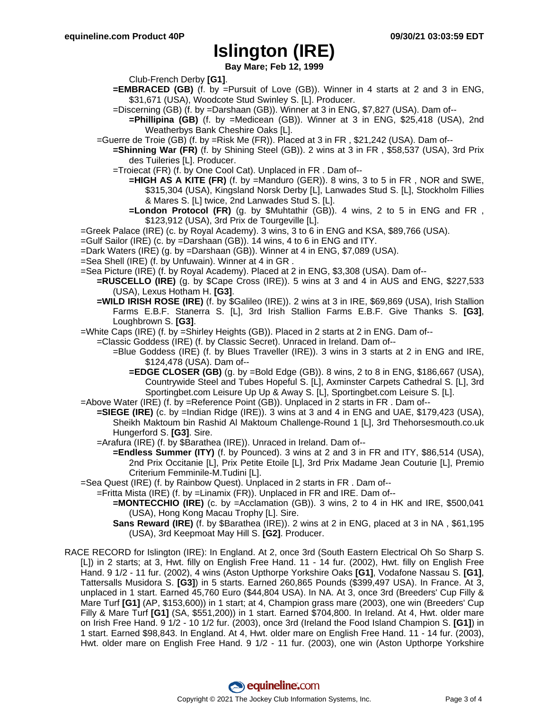**Bay Mare; Feb 12, 1999**

Club-French Derby **[G1]**.

- **=EMBRACED (GB)** (f. by =Pursuit of Love (GB)). Winner in 4 starts at 2 and 3 in ENG, \$31,671 (USA), Woodcote Stud Swinley S. [L]. Producer.
- =Discerning (GB) (f. by =Darshaan (GB)). Winner at 3 in ENG, \$7,827 (USA). Dam of--
	- **=Phillipina (GB)** (f. by =Medicean (GB)). Winner at 3 in ENG, \$25,418 (USA), 2nd Weatherbys Bank Cheshire Oaks [L].
- =Guerre de Troie (GB) (f. by =Risk Me (FR)). Placed at 3 in FR , \$21,242 (USA). Dam of--
	- **=Shinning War (FR)** (f. by Shining Steel (GB)). 2 wins at 3 in FR , \$58,537 (USA), 3rd Prix des Tuileries [L]. Producer.
	- =Troiecat (FR) (f. by One Cool Cat). Unplaced in FR . Dam of--
		- **=HIGH AS A KITE (FR)** (f. by =Manduro (GER)). 8 wins, 3 to 5 in FR , NOR and SWE, \$315,304 (USA), Kingsland Norsk Derby [L], Lanwades Stud S. [L], Stockholm Fillies & Mares S. [L] twice, 2nd Lanwades Stud S. [L].
		- **=London Protocol (FR)** (g. by \$Muhtathir (GB)). 4 wins, 2 to 5 in ENG and FR , \$123,912 (USA), 3rd Prix de Tourgeville [L].
- =Greek Palace (IRE) (c. by Royal Academy). 3 wins, 3 to 6 in ENG and KSA, \$89,766 (USA).
- =Gulf Sailor (IRE) (c. by =Darshaan (GB)). 14 wins, 4 to 6 in ENG and ITY.
- =Dark Waters (IRE) (g. by =Darshaan (GB)). Winner at 4 in ENG, \$7,089 (USA).
- =Sea Shell (IRE) (f. by Unfuwain). Winner at 4 in GR .
- =Sea Picture (IRE) (f. by Royal Academy). Placed at 2 in ENG, \$3,308 (USA). Dam of--
	- **=RUSCELLO (IRE)** (g. by \$Cape Cross (IRE)). 5 wins at 3 and 4 in AUS and ENG, \$227,533 (USA), Lexus Hotham H. **[G3]**.
		- **=WILD IRISH ROSE (IRE)** (f. by \$Galileo (IRE)). 2 wins at 3 in IRE, \$69,869 (USA), Irish Stallion Farms E.B.F. Stanerra S. [L], 3rd Irish Stallion Farms E.B.F. Give Thanks S. **[G3]**, Loughbrown S. **[G3]**.
- =White Caps (IRE) (f. by =Shirley Heights (GB)). Placed in 2 starts at 2 in ENG. Dam of--
	- =Classic Goddess (IRE) (f. by Classic Secret). Unraced in Ireland. Dam of--
		- =Blue Goddess (IRE) (f. by Blues Traveller (IRE)). 3 wins in 3 starts at 2 in ENG and IRE, \$124,478 (USA). Dam of--
			- **=EDGE CLOSER (GB)** (g. by =Bold Edge (GB)). 8 wins, 2 to 8 in ENG, \$186,667 (USA), Countrywide Steel and Tubes Hopeful S. [L], Axminster Carpets Cathedral S. [L], 3rd Sportingbet.com Leisure Up Up & Away S. [L], Sportingbet.com Leisure S. [L].
- =Above Water (IRE) (f. by =Reference Point (GB)). Unplaced in 2 starts in FR . Dam of--
- **=SIEGE (IRE)** (c. by =Indian Ridge (IRE)). 3 wins at 3 and 4 in ENG and UAE, \$179,423 (USA), Sheikh Maktoum bin Rashid Al Maktoum Challenge-Round 1 [L], 3rd Thehorsesmouth.co.uk Hungerford S. **[G3]**. Sire.
	- =Arafura (IRE) (f. by \$Barathea (IRE)). Unraced in Ireland. Dam of--
		- **=Endless Summer (ITY)** (f. by Pounced). 3 wins at 2 and 3 in FR and ITY, \$86,514 (USA), 2nd Prix Occitanie [L], Prix Petite Etoile [L], 3rd Prix Madame Jean Couturie [L], Premio Criterium Femminile-M.Tudini [L].
- =Sea Quest (IRE) (f. by Rainbow Quest). Unplaced in 2 starts in FR . Dam of--
	- =Fritta Mista (IRE) (f. by =Linamix (FR)). Unplaced in FR and IRE. Dam of--
		- **=MONTECCHIO (IRE)** (c. by =Acclamation (GB)). 3 wins, 2 to 4 in HK and IRE, \$500,041 (USA), Hong Kong Macau Trophy [L]. Sire.
		- **Sans Reward (IRE)** (f. by \$Barathea (IRE)). 2 wins at 2 in ENG, placed at 3 in NA , \$61,195 (USA), 3rd Keepmoat May Hill S. **[G2]**. Producer.
- RACE RECORD for Islington (IRE): In England. At 2, once 3rd (South Eastern Electrical Oh So Sharp S. [L]) in 2 starts; at 3, Hwt. filly on English Free Hand. 11 - 14 fur. (2002), Hwt. filly on English Free Hand. 9 1/2 - 11 fur. (2002), 4 wins (Aston Upthorpe Yorkshire Oaks **[G1]**, Vodafone Nassau S. **[G1]**, Tattersalls Musidora S. **[G3]**) in 5 starts. Earned 260,865 Pounds (\$399,497 USA). In France. At 3, unplaced in 1 start. Earned 45,760 Euro (\$44,804 USA). In NA. At 3, once 3rd (Breeders' Cup Filly & Mare Turf **[G1]** (AP, \$153,600)) in 1 start; at 4, Champion grass mare (2003), one win (Breeders' Cup Filly & Mare Turf **[G1]** (SA, \$551,200)) in 1 start. Earned \$704,800. In Ireland. At 4, Hwt. older mare on Irish Free Hand. 9 1/2 - 10 1/2 fur. (2003), once 3rd (Ireland the Food Island Champion S. **[G1]**) in 1 start. Earned \$98,843. In England. At 4, Hwt. older mare on English Free Hand. 11 - 14 fur. (2003), Hwt. older mare on English Free Hand. 9 1/2 - 11 fur. (2003), one win (Aston Upthorpe Yorkshire